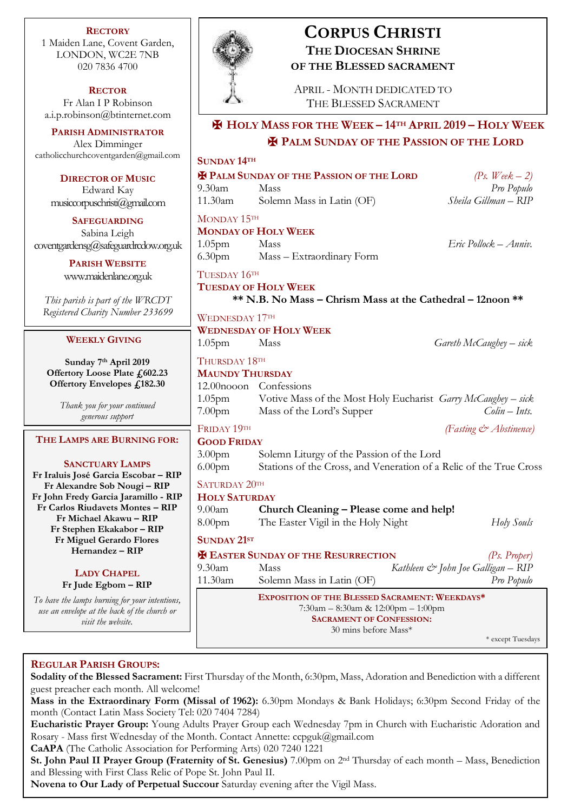**RECTORY** 1 Maiden Lane, Covent Garden, LONDON, WC2E 7NB 020 7836 4700

**RECTOR** Fr Alan I P Robinson [a.i.p.robinson@btinternet.com](mailto:a.i.p.robinson@btinternet.com)

**PARISH ADMINISTRATOR** Alex Dimminger [catholicchurchcoventgarden@gmail.com](mailto:catholicchurchcoventgarden@gmail.com)

> **DIRECTOR OF MUSIC** Edward Kay

musiccorpuschristi@gmail.com

**SAFEGUARDING** Sabina Leigh [coventgardensg@safeguardrcdow.org.uk](mailto:coventgardensg@safeguardrcdow.org.uk)

> **PARISH WEBSITE** [www.maidenlane.org.uk](http://www.maidenlane.org.uk/)

*This parish is part of the WRCDT Registered Charity Number 233699*

#### **WEEKLY GIVING**

**Sunday 7 th April 2019 Offertory Loose Plate £602.23 Offertory Envelopes £182.30**

> *Thank you for your continued generous support*

#### **THE LAMPS ARE BURNING FOR:**

**SANCTUARY LAMPS Fr Iraluis José Garcia Escobar – RIP Fr Alexandre Sob Nougi – RIP Fr John Fredy Garcia Jaramillo - RIP Fr Carlos Riudavets Montes – RIP Fr Michael Akawu – RIP Fr Stephen Ekakabor – RIP Fr Miguel Gerardo Flores Hernandez – RIP**

#### **LADY CHAPEL Fr Jude Egbom – RIP**

*To have the lamps burning for your intentions, use an envelope at the back of the church or visit the website.*



## **CORPUS CHRISTI THE DIOCESAN SHRINE OF THE BLESSED SACRAMENT**

APRIL - MONTH DEDICATED TO THE BLESSED SACRAMENT

## ✠ **HOLY MASS FOR THE WEEK – 14TH APRIL 2019 – HOLY WEEK** ✠ **PALM SUNDAY OF THE PASSION OF THE LORD**

**SUNDAY 14TH**

✠ **PALM SUNDAY OF THE PASSION OF THE LORD** *(Ps. Week – 2)*

11.30am Solemn Mass in Latin (OF) *Sheila Gillman – RIP*

MONDAY 15TH

# **MONDAY OF HOLY WEEK**

1.05pm Mass *Eric Pollock – Anniv.* 6.30pm Mass – Extraordinary Form

TUESDAY 16TH

**TUESDAY OF HOLY WEEK \*\* N.B. No Mass – Chrism Mass at the Cathedral – 12noon \*\***

WEDNESDAY 17TH **WEDNESDAY OF HOLY WEEK**

1.05pm Mass *Gareth McCaughey – sick*

### THURSDAY 18TH

## **MAUNDY THURSDAY**

|                    | 12.00nooon Confessions                                        |                |
|--------------------|---------------------------------------------------------------|----------------|
| $1.05$ pm          | Votive Mass of the Most Holy Eucharist Garry McCaughey – sick |                |
| 7.00 <sub>pm</sub> | Mass of the Lord's Supper                                     | $Colin-Ints$ . |
|                    |                                                               |                |

# FRIDAY 19TH *(Fasting & Abstinence)*

| <b>GOOD FRIDAY</b>   |                                                                    |                           |  |
|----------------------|--------------------------------------------------------------------|---------------------------|--|
| 3.00 <sub>pm</sub>   | Solemn Liturgy of the Passion of the Lord                          |                           |  |
| 6.00 <sub>pm</sub>   | Stations of the Cross, and Veneration of a Relic of the True Cross |                           |  |
| SATURDAY 20TH        |                                                                    |                           |  |
| <b>HOLY SATURDAY</b> |                                                                    |                           |  |
| $9.00$ am            | Church Cleaning - Please come and help!                            |                           |  |
| 8.00 <sub>pm</sub>   | The Easter Vigil in the Holy Night                                 | Holy Souls                |  |
| <b>SUNDAY 21ST</b>   |                                                                    |                           |  |
|                      | <b>EX EASTER SUNDAY OF THE RESURRECTION</b>                        | (P <sub>s</sub> , Proper) |  |

# 9.30am Mass *Kathleen & John Joe Galligan – RIP* 11.30am Solemn Mass in Latin (OF) *Pro Populo*

**EXPOSITION OF THE BLESSED SACRAMENT: WEEKDAYS\*** 7:30am – 8:30am & 12:00pm – 1:00pm **SACRAMENT OF CONFESSION:**  30 mins before Mass\*

\* except Tuesdays

### **REGULAR PARISH GROUPS:**

**Sodality of the Blessed Sacrament:** First Thursday of the Month, 6:30pm, Mass, Adoration and Benediction with a different guest preacher each month. All welcome!

**Mass in the Extraordinary Form (Missal of 1962):** 6.30pm Mondays & Bank Holidays; 6:30pm Second Friday of the month (Contact Latin Mass Society Tel: 020 7404 7284)

**Eucharistic Prayer Group:** Young Adults Prayer Group each Wednesday 7pm in Church with Eucharistic Adoration and Rosary - Mass first Wednesday of the Month. Contact Annette: ccpguk@gmail.com

**CaAPA** (The Catholic Association for Performing Arts) 020 7240 1221

**St. John Paul II Prayer Group (Fraternity of St. Genesius)** 7.00pm on 2nd Thursday of each month – Mass, Benediction and Blessing with First Class Relic of Pope St. John Paul II.

**Novena to Our Lady of Perpetual Succour** Saturday evening after the Vigil Mass.

9.30am Mass *Pro Populo*